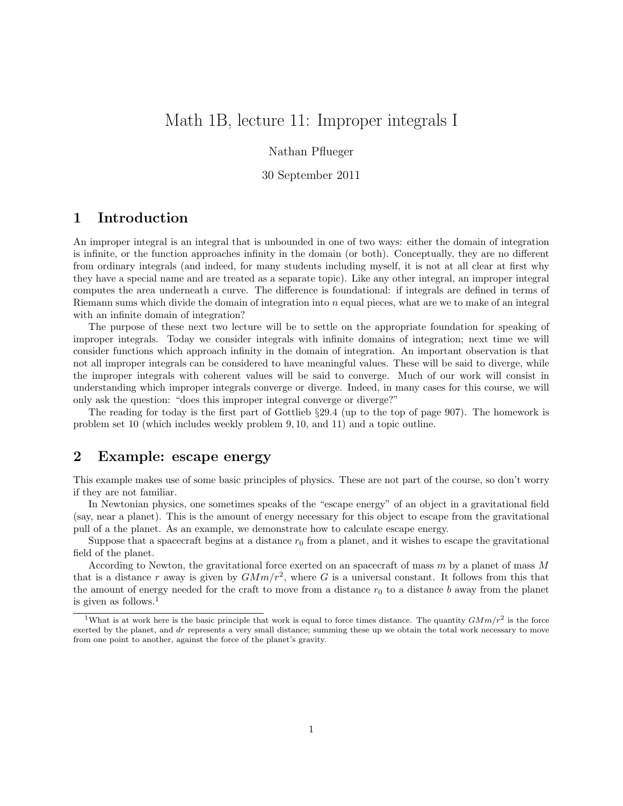# Math 1B, lecture 11: Improper integrals I

#### Nathan Pflueger

#### 30 September 2011

## 1 Introduction

An improper integral is an integral that is unbounded in one of two ways: either the domain of integration is infinite, or the function approaches infinity in the domain (or both). Conceptually, they are no different from ordinary integrals (and indeed, for many students including myself, it is not at all clear at first why they have a special name and are treated as a separate topic). Like any other integral, an improper integral computes the area underneath a curve. The difference is foundational: if integrals are defined in terms of Riemann sums which divide the domain of integration into n equal pieces, what are we to make of an integral with an infinite domain of integration?

The purpose of these next two lecture will be to settle on the appropriate foundation for speaking of improper integrals. Today we consider integrals with infinite domains of integration; next time we will consider functions which approach infinity in the domain of integration. An important observation is that not all improper integrals can be considered to have meaningful values. These will be said to diverge, while the improper integrals with coherent values will be said to converge. Much of our work will consist in understanding which improper integrals converge or diverge. Indeed, in many cases for this course, we will only ask the question: "does this improper integral converge or diverge?"

The reading for today is the first part of Gottlieb §29.4 (up to the top of page 907). The homework is problem set 10 (which includes weekly problem 9, 10, and 11) and a topic outline.

## 2 Example: escape energy

This example makes use of some basic principles of physics. These are not part of the course, so don't worry if they are not familiar.

In Newtonian physics, one sometimes speaks of the "escape energy" of an object in a gravitational field (say, near a planet). This is the amount of energy necessary for this object to escape from the gravitational pull of a the planet. As an example, we demonstrate how to calculate escape energy.

Suppose that a spacecraft begins at a distance  $r_0$  from a planet, and it wishes to escape the gravitational field of the planet.

According to Newton, the gravitational force exerted on an spacecraft of mass m by a planet of mass M that is a distance r away is given by  $GMm/r^2$ , where G is a universal constant. It follows from this that the amount of energy needed for the craft to move from a distance  $r_0$  to a distance b away from the planet is given as follows.<sup>1</sup>

<sup>&</sup>lt;sup>1</sup>What is at work here is the basic principle that work is equal to force times distance. The quantity  $GMm/r^2$  is the force exerted by the planet, and dr represents a very small distance; summing these up we obtain the total work necessary to move from one point to another, against the force of the planet's gravity.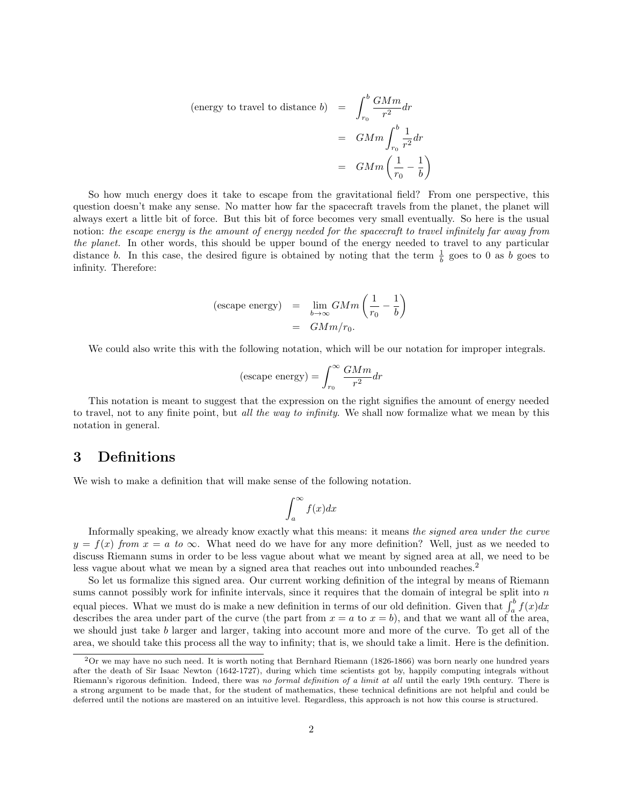(energy to travel to distance 
$$
b
$$
) = 
$$
\int_{r_0}^{b} \frac{GMm}{r^2} dr
$$

$$
= GMm \int_{r_0}^{b} \frac{1}{r^2} dr
$$

$$
= GMm \left(\frac{1}{r_0} - \frac{1}{b}\right)
$$

So how much energy does it take to escape from the gravitational field? From one perspective, this question doesn't make any sense. No matter how far the spacecraft travels from the planet, the planet will always exert a little bit of force. But this bit of force becomes very small eventually. So here is the usual notion: the escape energy is the amount of energy needed for the spacecraft to travel infinitely far away from the planet. In other words, this should be upper bound of the energy needed to travel to any particular distance b. In this case, the desired figure is obtained by noting that the term  $\frac{1}{b}$  goes to 0 as b goes to infinity. Therefore:

(escape energy) = 
$$
\lim_{b \to \infty} GMm \left( \frac{1}{r_0} - \frac{1}{b} \right)
$$
  
=  $GMm/r_0$ .

We could also write this with the following notation, which will be our notation for improper integrals.

(escape energy) = 
$$
\int_{r_0}^{\infty} \frac{GMm}{r^2} dr
$$

This notation is meant to suggest that the expression on the right signifies the amount of energy needed to travel, not to any finite point, but all the way to infinity. We shall now formalize what we mean by this notation in general.

#### 3 Definitions

We wish to make a definition that will make sense of the following notation.

$$
\int_a^\infty f(x)dx
$$

Informally speaking, we already know exactly what this means: it means the signed area under the curve  $y = f(x)$  from  $x = a$  to  $\infty$ . What need do we have for any more definition? Well, just as we needed to discuss Riemann sums in order to be less vague about what we meant by signed area at all, we need to be less vague about what we mean by a signed area that reaches out into unbounded reaches.<sup>2</sup>

So let us formalize this signed area. Our current working definition of the integral by means of Riemann sums cannot possibly work for infinite intervals, since it requires that the domain of integral be split into n equal pieces. What we must do is make a new definition in terms of our old definition. Given that  $\int_a^b f(x)dx$ describes the area under part of the curve (the part from  $x = a$  to  $x = b$ ), and that we want all of the area, we should just take b larger and larger, taking into account more and more of the curve. To get all of the area, we should take this process all the way to infinity; that is, we should take a limit. Here is the definition.

<sup>2</sup>Or we may have no such need. It is worth noting that Bernhard Riemann (1826-1866) was born nearly one hundred years after the death of Sir Isaac Newton (1642-1727), during which time scientists got by, happily computing integrals without Riemann's rigorous definition. Indeed, there was no formal definition of a limit at all until the early 19th century. There is a strong argument to be made that, for the student of mathematics, these technical definitions are not helpful and could be deferred until the notions are mastered on an intuitive level. Regardless, this approach is not how this course is structured.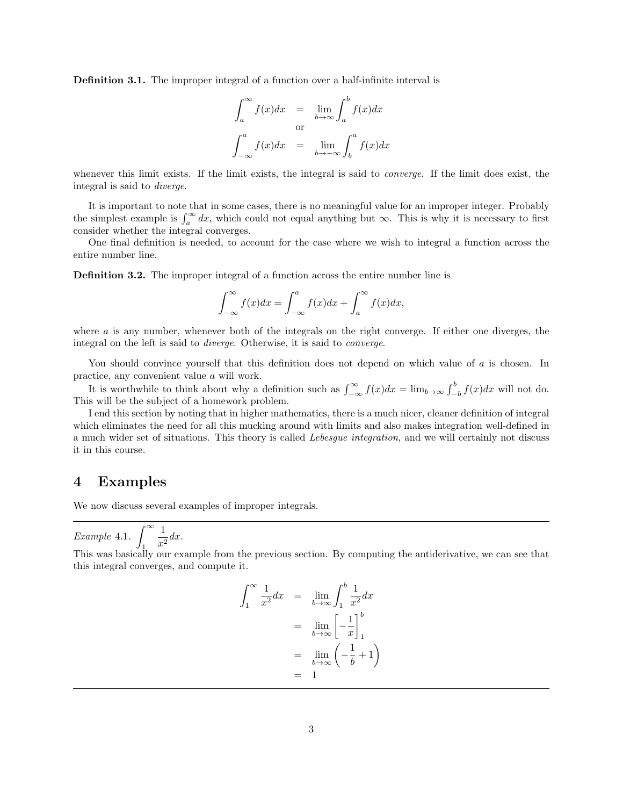Definition 3.1. The improper integral of a function over a half-infinite interval is

$$
\int_{a}^{\infty} f(x)dx = \lim_{b \to \infty} \int_{a}^{b} f(x)dx
$$
  
or  

$$
\int_{-\infty}^{a} f(x)dx = \lim_{b \to -\infty} \int_{b}^{a} f(x)dx
$$

whenever this limit exists. If the limit exists, the integral is said to *converge*. If the limit does exist, the integral is said to diverge.

It is important to note that in some cases, there is no meaningful value for an improper integer. Probably the simplest example is  $\int_a^{\infty} dx$ , which could not equal anything but  $\infty$ . This is why it is necessary to first consider whether the integral converges.

One final definition is needed, to account for the case where we wish to integral a function across the entire number line.

Definition 3.2. The improper integral of a function across the entire number line is

$$
\int_{-\infty}^{\infty} f(x)dx = \int_{-\infty}^{a} f(x)dx + \int_{a}^{\infty} f(x)dx,
$$

where  $a$  is any number, whenever both of the integrals on the right converge. If either one diverges, the integral on the left is said to diverge. Otherwise, it is said to converge.

You should convince yourself that this definition does not depend on which value of a is chosen. In practice, any convenient value a will work.

It is worthwhile to think about why a definition such as  $\int_{-\infty}^{\infty} f(x)dx = \lim_{b \to \infty} \int_{-b}^{b} f(x)dx$  will not do. This will be the subject of a homework problem.

I end this section by noting that in higher mathematics, there is a much nicer, cleaner definition of integral which eliminates the need for all this mucking around with limits and also makes integration well-defined in a much wider set of situations. This theory is called Lebesgue integration, and we will certainly not discuss it in this course.

#### 4 Examples

We now discuss several examples of improper integrals.

Example 4.1.  $\int_{0}^{\infty}$ 1 1  $\frac{1}{x^2}dx$ .

This was basically our example from the previous section. By computing the antiderivative, we can see that this integral converges, and compute it.

$$
\int_{1}^{\infty} \frac{1}{x^{2}} dx = \lim_{b \to \infty} \int_{1}^{b} \frac{1}{x^{2}} dx
$$

$$
= \lim_{b \to \infty} \left[ -\frac{1}{x} \right]_{1}^{b}
$$

$$
= \lim_{b \to \infty} \left( -\frac{1}{b} + 1 \right)
$$

$$
= 1
$$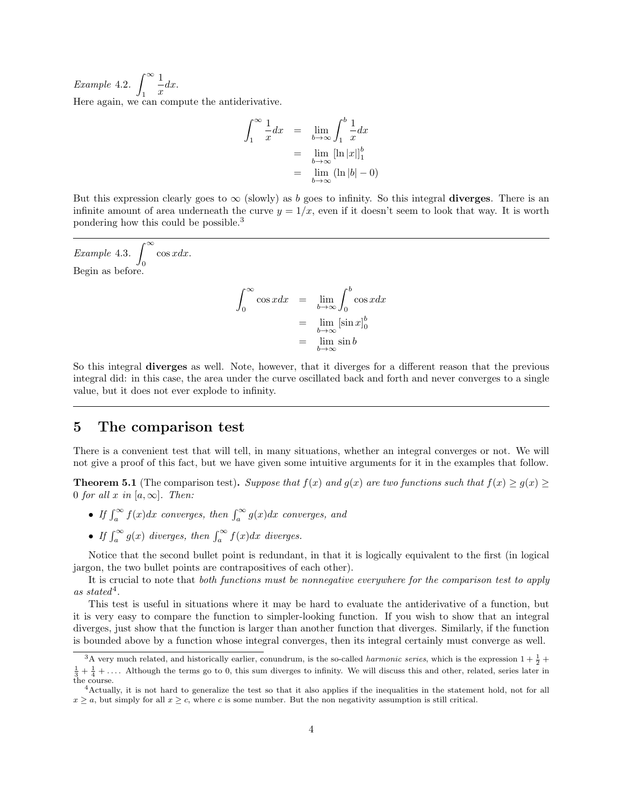Example 4.2.  $\int_{0}^{\infty}$ 1 1  $\frac{1}{x}dx$ . Here again, we can compute the antiderivative.

$$
\int_{1}^{\infty} \frac{1}{x} dx = \lim_{b \to \infty} \int_{1}^{b} \frac{1}{x} dx
$$

$$
= \lim_{b \to \infty} [\ln |x|]_{1}^{b}
$$

$$
= \lim_{b \to \infty} (\ln |b| - 0)
$$

But this expression clearly goes to  $\infty$  (slowly) as b goes to infinity. So this integral **diverges**. There is an infinite amount of area underneath the curve  $y = 1/x$ , even if it doesn't seem to look that way. It is worth pondering how this could be possible.<sup>3</sup>

Example 4.3.  $\int_{0}^{\infty}$ 0  $\cos x dx$ . Begin as before.

$$
\int_0^\infty \cos x dx = \lim_{b \to \infty} \int_0^b \cos x dx
$$
  
= 
$$
\lim_{b \to \infty} [\sin x]_0^b
$$
  
= 
$$
\lim_{b \to \infty} \sin b
$$

So this integral diverges as well. Note, however, that it diverges for a different reason that the previous integral did: in this case, the area under the curve oscillated back and forth and never converges to a single value, but it does not ever explode to infinity.

#### 5 The comparison test

There is a convenient test that will tell, in many situations, whether an integral converges or not. We will not give a proof of this fact, but we have given some intuitive arguments for it in the examples that follow.

**Theorem 5.1** (The comparison test). Suppose that  $f(x)$  and  $g(x)$  are two functions such that  $f(x) \ge g(x) \ge$ 0 for all x in  $[a,\infty]$ . Then:

- If  $\int_a^{\infty} f(x)dx$  converges, then  $\int_a^{\infty} g(x)dx$  converges, and
- If  $\int_a^{\infty} g(x)$  diverges, then  $\int_a^{\infty} f(x) dx$  diverges.

Notice that the second bullet point is redundant, in that it is logically equivalent to the first (in logical jargon, the two bullet points are contrapositives of each other).

It is crucial to note that both functions must be nonnegative everywhere for the comparison test to apply  $as stated<sup>4</sup>.$ 

This test is useful in situations where it may be hard to evaluate the antiderivative of a function, but it is very easy to compare the function to simpler-looking function. If you wish to show that an integral diverges, just show that the function is larger than another function that diverges. Similarly, if the function is bounded above by a function whose integral converges, then its integral certainly must converge as well.

<sup>&</sup>lt;sup>3</sup>A very much related, and historically earlier, conundrum, is the so-called *harmonic series*, which is the expression  $1 + \frac{1}{2}$  +  $\frac{1}{3} + \frac{1}{4} + \dots$ . Although the terms go to 0, this sum diverges to infinity. We will discuss this and other, related, series later in the course.

<sup>4</sup>Actually, it is not hard to generalize the test so that it also applies if the inequalities in the statement hold, not for all  $x \ge a$ , but simply for all  $x \ge c$ , where c is some number. But the non negativity assumption is still critical.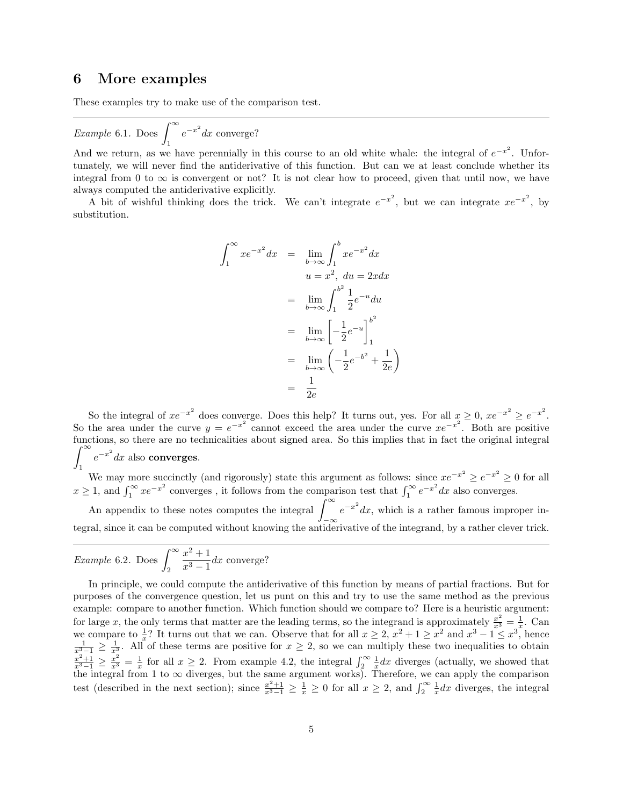### 6 More examples

These examples try to make use of the comparison test.

Example 6.1. Does  $\int_{0}^{\infty}$ 1  $e^{-x^2}dx$  converge?

And we return, as we have perennially in this course to an old white whale: the integral of  $e^{-x^2}$ . Unfortunately, we will never find the antiderivative of this function. But can we at least conclude whether its integral from 0 to  $\infty$  is convergent or not? It is not clear how to proceed, given that until now, we have always computed the antiderivative explicitly.

A bit of wishful thinking does the trick. We can't integrate  $e^{-x^2}$ , but we can integrate  $xe^{-x^2}$ , by substitution.

$$
\int_{1}^{\infty} xe^{-x^{2}} dx = \lim_{b \to \infty} \int_{1}^{b} xe^{-x^{2}} dx
$$

$$
u = x^{2}, du = 2xdx
$$

$$
= \lim_{b \to \infty} \int_{1}^{b^{2}} \frac{1}{2} e^{-u} du
$$

$$
= \lim_{b \to \infty} \left[ -\frac{1}{2} e^{-u} \right]_{1}^{b^{2}}
$$

$$
= \lim_{b \to \infty} \left( -\frac{1}{2} e^{-b^{2}} + \frac{1}{2e} \right)
$$

$$
= \frac{1}{2e}
$$

So the integral of  $xe^{-x^2}$  does converge. Does this help? It turns out, yes. For all  $x \ge 0$ ,  $xe^{-x^2} \ge e^{-x^2}$ . So the area under the curve  $y = e^{-x^2}$  cannot exceed the area under the curve  $xe^{-x^2}$ . Both are positive functions, so there are no technicalities about signed area. So this implies that in fact the original integral  $\int_{0}^{\infty} e^{-x^2} dx$  also converges.

<sup>1</sup> We may more succinctly (and rigorously) state this argument as follows: since  $xe^{-x^2} \ge e^{-x^2} \ge 0$  for all  $x \geq 1$ , and  $\int_1^{\infty} xe^{-x^2}$  converges, it follows from the comparison test that  $\int_1^{\infty} e^{-x^2} dx$  also converges.

An appendix to these notes computes the integral  $\int_{-\infty}^{\infty}$ −∞  $e^{-x^2}dx$ , which is a rather famous improper integral, since it can be computed without knowing the antiderivative of the integrand, by a rather clever trick.

*Example* 6.2. Does 
$$
\int_2^{\infty} \frac{x^2 + 1}{x^3 - 1} dx
$$
 converge?

In principle, we could compute the antiderivative of this function by means of partial fractions. But for purposes of the convergence question, let us punt on this and try to use the same method as the previous example: compare to another function. Which function should we compare to? Here is a heuristic argument: for large x, the only terms that matter are the leading terms, so the integrand is approximately  $\frac{x^2}{x^3} = \frac{1}{x}$ . Can we compare to  $\frac{1}{x}$ ? It turns out that we can. Observe that for all  $x \ge 2$ ,  $x^2 + 1 \ge x^2$  and  $x^3 - 1 \le x^3$ , hence  $\frac{1}{x^3-1} \ge \frac{1}{x^3}$ . All of these terms are positive for  $x \ge 2$ , so we can multiply these two i  $\frac{x^2+1}{x^3-1} \ge \frac{x^2}{x^3} = \frac{1}{x}$  for all  $x \ge 2$ . From example 4.2, the integral  $\int_2^{\infty} \frac{1}{x} dx$  diverges (actually, we showed that the integral from 1 to  $\infty$  diverges, but the same argument works). Therefore, we can apply the comparison test (described in the next section); since  $\frac{x^2+1}{x^3-1} \ge \frac{1}{x} \ge 0$  for all  $x \ge 2$ , and  $\int_2^{\infty} \frac{1}{x} dx$  diverges, the integral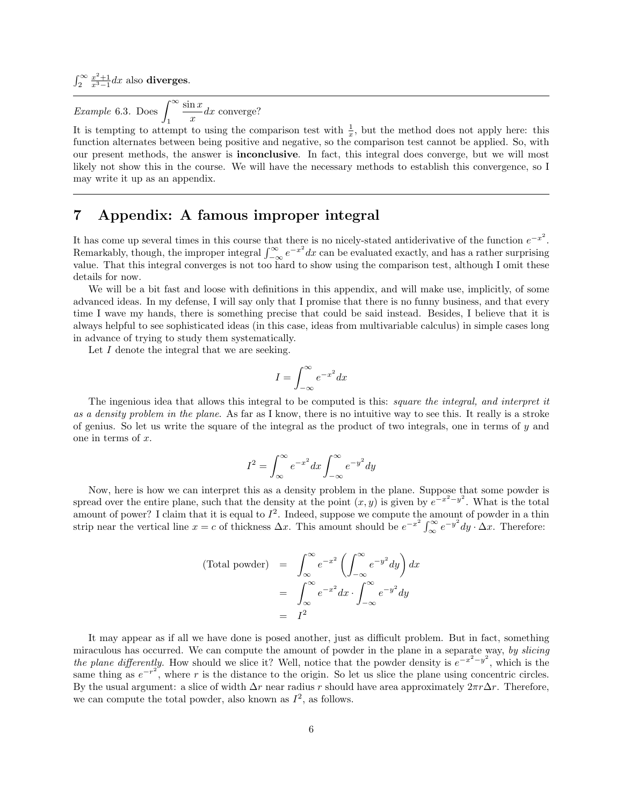$\int_2^{\infty} \frac{x^2+1}{x^3-1} dx$  also **diverges**.

Example 6.3. Does  $\int_{0}^{\infty}$ 1  $\sin x$  $\frac{d}{dx}$  dx converge?

It is tempting to attempt to using the comparison test with  $\frac{1}{x}$ , but the method does not apply here: this function alternates between being positive and negative, so the comparison test cannot be applied. So, with our present methods, the answer is inconclusive. In fact, this integral does converge, but we will most likely not show this in the course. We will have the necessary methods to establish this convergence, so I may write it up as an appendix.

# 7 Appendix: A famous improper integral

It has come up several times in this course that there is no nicely-stated antiderivative of the function  $e^{-x^2}$ . Remarkably, though, the improper integral  $\int_{-\infty}^{\infty} e^{-x^2} dx$  can be evaluated exactly, and has a rather surprising value. That this integral converges is not too hard to show using the comparison test, although I omit these details for now.

We will be a bit fast and loose with definitions in this appendix, and will make use, implicitly, of some advanced ideas. In my defense, I will say only that I promise that there is no funny business, and that every time I wave my hands, there is something precise that could be said instead. Besides, I believe that it is always helpful to see sophisticated ideas (in this case, ideas from multivariable calculus) in simple cases long in advance of trying to study them systematically.

Let I denote the integral that we are seeking.

$$
I=\int_{-\infty}^{\infty}e^{-x^2}dx
$$

The ingenious idea that allows this integral to be computed is this: square the integral, and interpret it as a density problem in the plane. As far as I know, there is no intuitive way to see this. It really is a stroke of genius. So let us write the square of the integral as the product of two integrals, one in terms of y and one in terms of x.

$$
I^{2} = \int_{\infty}^{\infty} e^{-x^{2}} dx \int_{-\infty}^{\infty} e^{-y^{2}} dy
$$

Now, here is how we can interpret this as a density problem in the plane. Suppose that some powder is spread over the entire plane, such that the density at the point  $(x, y)$  is given by  $e^{-x^2-y^2}$ . What is the total amount of power? I claim that it is equal to  $I^2$ . Indeed, suppose we compute the amount of powder in a thin strip near the vertical line  $x = c$  of thickness  $\Delta x$ . This amount should be  $e^{-x^2} \int_{\infty}^{\infty} e^{-y^2} dy \cdot \Delta x$ . Therefore:

(Total powder) = 
$$
\int_{\infty}^{\infty} e^{-x^2} \left( \int_{-\infty}^{\infty} e^{-y^2} dy \right) dx
$$

$$
= \int_{\infty}^{\infty} e^{-x^2} dx \cdot \int_{-\infty}^{\infty} e^{-y^2} dy
$$

$$
= I^2
$$

It may appear as if all we have done is posed another, just as difficult problem. But in fact, something miraculous has occurred. We can compute the amount of powder in the plane in a separate way, by slicing the plane differently. How should we slice it? Well, notice that the powder density is  $e^{-x^2-y^2}$ , which is the same thing as  $e^{-r^2}$ , where r is the distance to the origin. So let us slice the plane using concentric circles. By the usual argument: a slice of width  $\Delta r$  near radius r should have area approximately  $2\pi r\Delta r$ . Therefore, we can compute the total powder, also known as  $I^2$ , as follows.